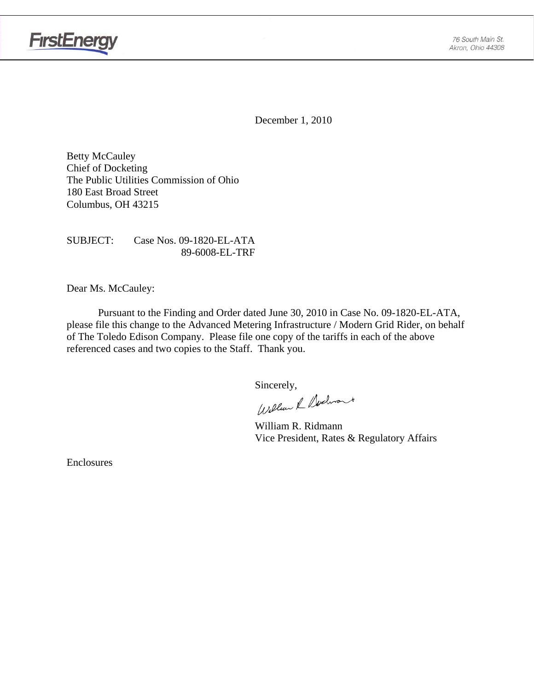

December 1, 2010

Betty McCauley Chief of Docketing The Public Utilities Commission of Ohio 180 East Broad Street Columbus, OH 43215

SUBJECT: Case Nos. 09-1820-EL-ATA 89-6008-EL-TRF

Dear Ms. McCauley:

Pursuant to the Finding and Order dated June 30, 2010 in Case No. 09-1820-EL-ATA, please file this change to the Advanced Metering Infrastructure / Modern Grid Rider, on behalf of The Toledo Edison Company. Please file one copy of the tariffs in each of the above referenced cases and two copies to the Staff. Thank you.

Sincerely,<br>William & Nochront

 William R. Ridmann Vice President, Rates & Regulatory Affairs

Enclosures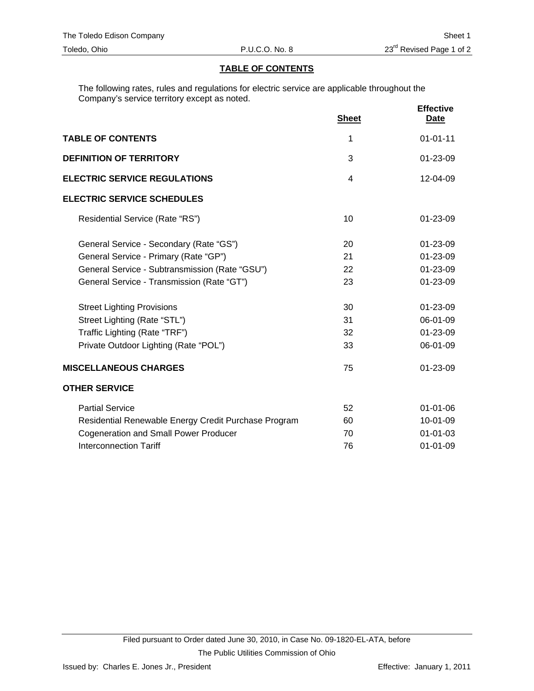#### **TABLE OF CONTENTS**

The following rates, rules and regulations for electric service are applicable throughout the Company's service territory except as noted.

|                                                      | <b>Sheet</b>   | <b>Effective</b><br><b>Date</b> |
|------------------------------------------------------|----------------|---------------------------------|
| <b>TABLE OF CONTENTS</b>                             | 1              | $01 - 01 - 11$                  |
| <b>DEFINITION OF TERRITORY</b>                       | 3              | 01-23-09                        |
| <b>ELECTRIC SERVICE REGULATIONS</b>                  | $\overline{4}$ | 12-04-09                        |
| <b>ELECTRIC SERVICE SCHEDULES</b>                    |                |                                 |
| Residential Service (Rate "RS")                      | 10             | $01 - 23 - 09$                  |
| General Service - Secondary (Rate "GS")              | 20             | 01-23-09                        |
| General Service - Primary (Rate "GP")                | 21             | 01-23-09                        |
| General Service - Subtransmission (Rate "GSU")       | 22             | 01-23-09                        |
| General Service - Transmission (Rate "GT")           | 23             | $01 - 23 - 09$                  |
| <b>Street Lighting Provisions</b>                    | 30             | $01 - 23 - 09$                  |
| Street Lighting (Rate "STL")                         | 31             | 06-01-09                        |
| Traffic Lighting (Rate "TRF")                        | 32             | 01-23-09                        |
| Private Outdoor Lighting (Rate "POL")                | 33             | 06-01-09                        |
| <b>MISCELLANEOUS CHARGES</b>                         | 75             | 01-23-09                        |
| <b>OTHER SERVICE</b>                                 |                |                                 |
| <b>Partial Service</b>                               | 52             | 01-01-06                        |
| Residential Renewable Energy Credit Purchase Program | 60             | 10-01-09                        |
| <b>Cogeneration and Small Power Producer</b>         | 70             | $01 - 01 - 03$                  |
| <b>Interconnection Tariff</b>                        | 76             | $01 - 01 - 09$                  |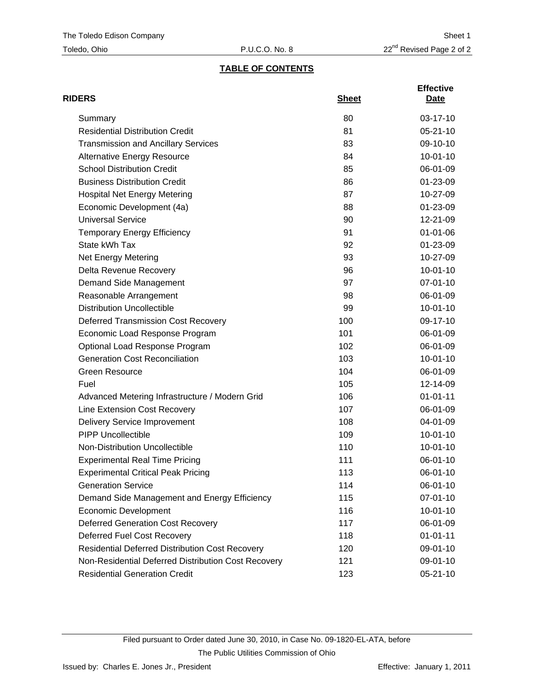# **TABLE OF CONTENTS**

| <b>RIDERS</b>                                          | <b>Sheet</b> | <b>Effective</b><br>Date |
|--------------------------------------------------------|--------------|--------------------------|
| Summary                                                | 80           | 03-17-10                 |
| <b>Residential Distribution Credit</b>                 | 81           | $05 - 21 - 10$           |
| <b>Transmission and Ancillary Services</b>             | 83           | 09-10-10                 |
| <b>Alternative Energy Resource</b>                     | 84           | $10 - 01 - 10$           |
| <b>School Distribution Credit</b>                      | 85           | 06-01-09                 |
| <b>Business Distribution Credit</b>                    | 86           | $01 - 23 - 09$           |
| <b>Hospital Net Energy Metering</b>                    | 87           | 10-27-09                 |
| Economic Development (4a)                              | 88           | 01-23-09                 |
| <b>Universal Service</b>                               | 90           | 12-21-09                 |
| <b>Temporary Energy Efficiency</b>                     | 91           | $01 - 01 - 06$           |
| State kWh Tax                                          | 92           | 01-23-09                 |
| Net Energy Metering                                    | 93           | 10-27-09                 |
| Delta Revenue Recovery                                 | 96           | $10 - 01 - 10$           |
| Demand Side Management                                 | 97           | 07-01-10                 |
| Reasonable Arrangement                                 | 98           | 06-01-09                 |
| <b>Distribution Uncollectible</b>                      | 99           | $10 - 01 - 10$           |
| <b>Deferred Transmission Cost Recovery</b>             | 100          | 09-17-10                 |
| Economic Load Response Program                         | 101          | 06-01-09                 |
| Optional Load Response Program                         | 102          | 06-01-09                 |
| <b>Generation Cost Reconciliation</b>                  | 103          | $10 - 01 - 10$           |
| <b>Green Resource</b>                                  | 104          | 06-01-09                 |
| Fuel                                                   | 105          | 12-14-09                 |
| Advanced Metering Infrastructure / Modern Grid         | 106          | $01 - 01 - 11$           |
| Line Extension Cost Recovery                           | 107          | 06-01-09                 |
| <b>Delivery Service Improvement</b>                    | 108          | 04-01-09                 |
| <b>PIPP Uncollectible</b>                              | 109          | $10 - 01 - 10$           |
| Non-Distribution Uncollectible                         | 110          | $10 - 01 - 10$           |
| <b>Experimental Real Time Pricing</b>                  | 111          | 06-01-10                 |
| <b>Experimental Critical Peak Pricing</b>              | 113          | 06-01-10                 |
| <b>Generation Service</b>                              | 114          | 06-01-10                 |
| Demand Side Management and Energy Efficiency           | 115          | 07-01-10                 |
| <b>Economic Development</b>                            | 116          | $10-01-10$               |
| <b>Deferred Generation Cost Recovery</b>               | 117          | 06-01-09                 |
| Deferred Fuel Cost Recovery                            | 118          | $01 - 01 - 11$           |
| <b>Residential Deferred Distribution Cost Recovery</b> | 120          | 09-01-10                 |
| Non-Residential Deferred Distribution Cost Recovery    | 121          | 09-01-10                 |
| <b>Residential Generation Credit</b>                   | 123          | 05-21-10                 |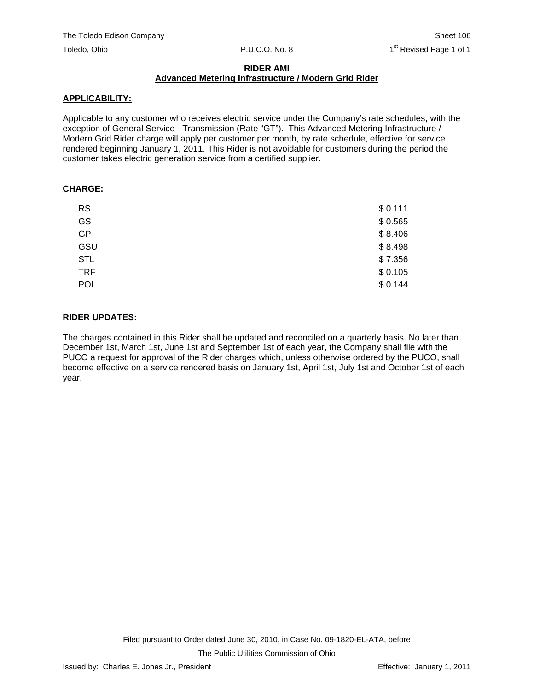### **RIDER AMI**

#### **Advanced Metering Infrastructure / Modern Grid Rider**

#### **APPLICABILITY:**

Applicable to any customer who receives electric service under the Company's rate schedules, with the exception of General Service - Transmission (Rate "GT"). This Advanced Metering Infrastructure / Modern Grid Rider charge will apply per customer per month, by rate schedule, effective for service rendered beginning January 1, 2011. This Rider is not avoidable for customers during the period the customer takes electric generation service from a certified supplier.

#### **CHARGE:**

| \$0.111 |
|---------|
| \$0.565 |
| \$8.406 |
| \$8.498 |
| \$7.356 |
| \$0.105 |
| \$0.144 |
|         |

#### **RIDER UPDATES:**

The charges contained in this Rider shall be updated and reconciled on a quarterly basis. No later than December 1st, March 1st, June 1st and September 1st of each year, the Company shall file with the PUCO a request for approval of the Rider charges which, unless otherwise ordered by the PUCO, shall become effective on a service rendered basis on January 1st, April 1st, July 1st and October 1st of each year.